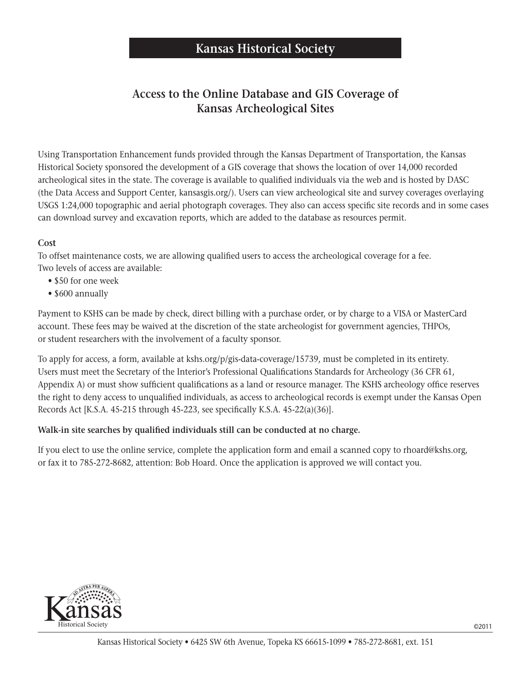### **Access to the Online Database and GIS Coverage of Kansas Archeological Sites**

Using Transportation Enhancement funds provided through the Kansas Department of Transportation, the Kansas Historical Society sponsored the development of a GIS coverage that shows the location of over 14,000 recorded archeological sites in the state. The coverage is available to qualified individuals via the web and is hosted by DASC (the Data Access and Support Center, kansasgis.org/). Users can view archeological site and survey coverages overlaying USGS 1:24,000 topographic and aerial photograph coverages. They also can access specific site records and in some cases can download survey and excavation reports, which are added to the database as resources permit.

### **Cost**

To offset maintenance costs, we are allowing qualified users to access the archeological coverage for a fee. Two levels of access are available:

- \$50 for one week
- \$600 annually

Payment to KSHS can be made by check, direct billing with a purchase order, or by charge to a VISA or MasterCard account. These fees may be waived at the discretion of the state archeologist for government agencies, THPOs, or student researchers with the involvement of a faculty sponsor.

To apply for access, a form, available at kshs.org/p/gis-data-coverage/15739, must be completed in its entirety. Users must meet the Secretary of the Interior's Professional Qualifications Standards for Archeology (36 CFR 61, Appendix A) or must show sufficient qualifications as a land or resource manager. The KSHS archeology office reserves the right to deny access to unqualified individuals, as access to archeological records is exempt under the Kansas Open Records Act [K.S.A. 45-215 through 45-223, see specifically K.S.A. 45-22(a)(36)].

### **Walk-in site searches by qualified individuals still can be conducted at no charge.**

If you elect to use the online service, complete the application form and email a scanned copy to rhoard@kshs.org, or fax it to 785-272-8682, attention: Bob Hoard. Once the application is approved we will contact you.

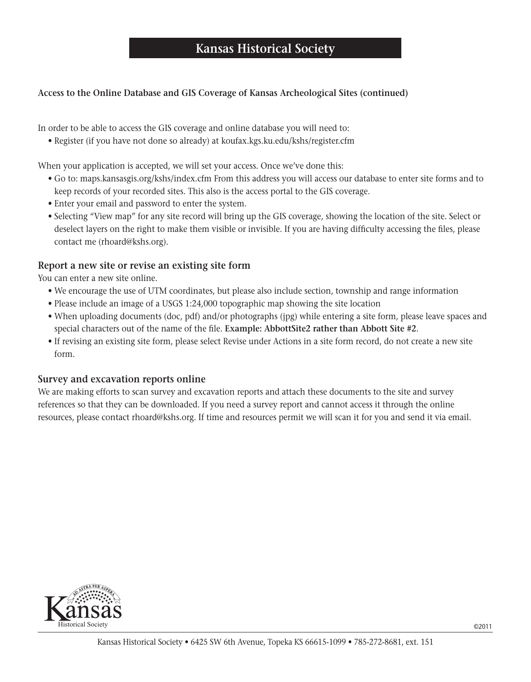### **Kansas Historical Society**

### **Access to the Online Database and GIS Coverage of Kansas Archeological Sites (continued)**

In order to be able to access the GIS coverage and online database you will need to:

 • Register (if you have not done so already) at koufax.kgs.ku.edu/kshs/register.cfm

When your application is accepted, we will set your access. Once we've done this:

- Go to: maps.kansasgis.org/kshs/index.cfm From this address you will access our database to enter site forms and to keep records of your recorded sites. This also is the access portal to the GIS coverage.
- Enter your email and password to enter the system.
- Selecting "View map" for any site record will bring up the GIS coverage, showing the location of the site. Select or deselect layers on the right to make them visible or invisible. If you are having difficulty accessing the files, please contact me (rhoard@kshs.org).

#### **Report a new site or revise an existing site form**

You can enter a new site online.

- We encourage the use of UTM coordinates, but please also include section, township and range information
- Please include an image of a USGS 1:24,000 topographic map showing the site location
- When uploading documents (doc, pdf) and/or photographs (jpg) while entering a site form, please leave spaces and special characters out of the name of the file. **Example: AbbottSite2 rather than Abbott Site #2**.
- If revising an existing site form, please select Revise under Actions in a site form record, do not create a new site form.

#### **Survey and excavation reports online**

We are making efforts to scan survey and excavation reports and attach these documents to the site and survey references so that they can be downloaded. If you need a survey report and cannot access it through the online resources, please contact rhoard@kshs.org. If time and resources permit we will scan it for you and send it via email.

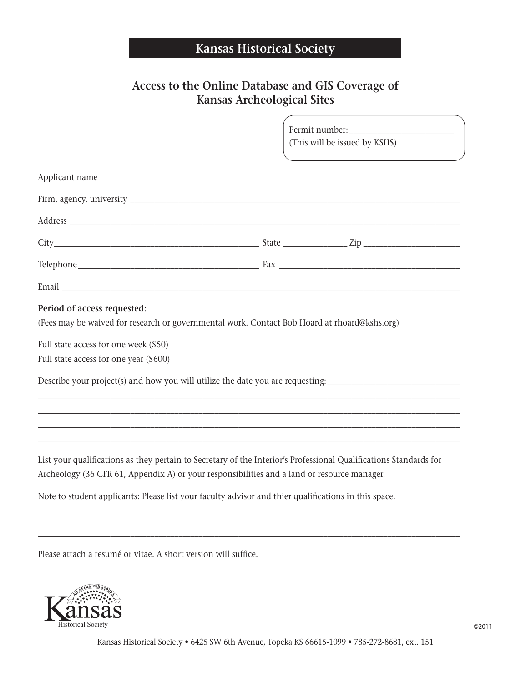# **Kansas Historical Society**

## **Access to the Online Database and GIS Coverage of Kansas Archeological Sites**

|                                                                                                                                                                                                                                | (This will be issued by KSHS) |  |  |
|--------------------------------------------------------------------------------------------------------------------------------------------------------------------------------------------------------------------------------|-------------------------------|--|--|
|                                                                                                                                                                                                                                |                               |  |  |
|                                                                                                                                                                                                                                |                               |  |  |
|                                                                                                                                                                                                                                |                               |  |  |
|                                                                                                                                                                                                                                |                               |  |  |
|                                                                                                                                                                                                                                |                               |  |  |
|                                                                                                                                                                                                                                |                               |  |  |
| Email Land and the contract of the contract of the contract of the contract of the contract of the contract of the contract of the contract of the contract of the contract of the contract of the contract of the contract of |                               |  |  |
| Period of access requested:                                                                                                                                                                                                    |                               |  |  |
| (Fees may be waived for research or governmental work. Contact Bob Hoard at rhoard@kshs.org)                                                                                                                                   |                               |  |  |
| Full state access for one week (\$50)                                                                                                                                                                                          |                               |  |  |
| Full state access for one year (\$600)                                                                                                                                                                                         |                               |  |  |
| Describe your project(s) and how you will utilize the date you are requesting:                                                                                                                                                 |                               |  |  |
|                                                                                                                                                                                                                                |                               |  |  |
| ,我们也不会有什么。""我们的人,我们也不会有什么?""我们的人,我们也不会有什么?""我们的人,我们也不会有什么?""我们的人,我们也不会有什么?""我们的人                                                                                                                                               |                               |  |  |
| ,我们也不会有什么。""我们的人,我们也不会有什么?""我们的人,我们也不会有什么?""我们的人,我们也不会有什么?""我们的人,我们也不会有什么?""我们的人                                                                                                                                               |                               |  |  |
| List your qualifications as they pertain to Secretary of the Interior's Professional Qualifications Standards for<br>Archeology (36 CFR 61, Appendix A) or your responsibilities and a land or resource manager.               |                               |  |  |
| Note to student applicants: Please list your faculty advisor and thier qualifications in this space.                                                                                                                           |                               |  |  |

Please attach a resumé or vitae. A short version will suffice.



\_\_\_\_\_\_\_\_\_\_\_\_\_\_\_\_\_\_\_\_\_\_\_\_\_\_\_\_\_\_\_\_\_\_\_\_\_\_\_\_\_\_\_\_\_\_\_\_\_\_\_\_\_\_\_\_\_\_\_\_\_\_\_\_\_\_\_\_\_\_\_\_\_\_\_\_\_\_\_\_\_\_\_\_\_\_\_\_\_\_\_\_\_\_\_\_\_\_\_\_\_\_\_\_\_ \_\_\_\_\_\_\_\_\_\_\_\_\_\_\_\_\_\_\_\_\_\_\_\_\_\_\_\_\_\_\_\_\_\_\_\_\_\_\_\_\_\_\_\_\_\_\_\_\_\_\_\_\_\_\_\_\_\_\_\_\_\_\_\_\_\_\_\_\_\_\_\_\_\_\_\_\_\_\_\_\_\_\_\_\_\_\_\_\_\_\_\_\_\_\_\_\_\_\_\_\_\_\_\_\_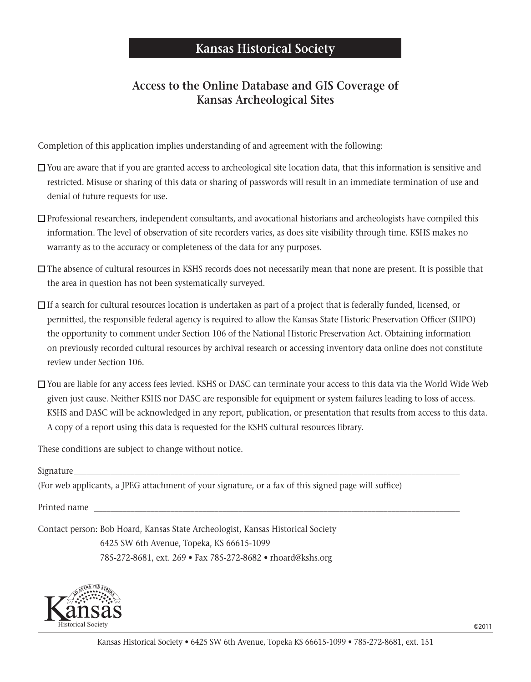### **Access to the Online Database and GIS Coverage of Kansas Archeological Sites**

Completion of this application implies understanding of and agreement with the following:

- $\Box$  You are aware that if you are granted access to archeological site location data, that this information is sensitive and restricted. Misuse or sharing of this data or sharing of passwords will result in an immediate termination of use and denial of future requests for use.
- $\Box$  Professional researchers, independent consultants, and avocational historians and archeologists have compiled this information. The level of observation of site recorders varies, as does site visibility through time. KSHS makes no warranty as to the accuracy or completeness of the data for any purposes.
- $\square$  The absence of cultural resources in KSHS records does not necessarily mean that none are present. It is possible that the area in question has not been systematically surveyed.
- $\Box$  If a search for cultural resources location is undertaken as part of a project that is federally funded, licensed, or permitted, the responsible federal agency is required to allow the Kansas State Historic Preservation Officer (SHPO) the opportunity to comment under Section 106 of the National Historic Preservation Act. Obtaining information on previously recorded cultural resources by archival research or accessing inventory data online does not constitute review under Section 106.
- You are liable for any access fees levied. KSHS or DASC can terminate your access to this data via the World Wide Web given just cause. Neither KSHS nor DASC are responsible for equipment or system failures leading to loss of access. KSHS and DASC will be acknowledged in any report, publication, or presentation that results from access to this data. A copy of a report using this data is requested for the KSHS cultural resources library.

These conditions are subject to change without notice.

Signature\_\_\_\_\_\_\_\_\_\_\_\_\_\_\_\_\_\_\_\_\_\_\_\_\_\_\_\_\_\_\_\_\_\_\_\_\_\_\_\_\_\_\_\_\_\_\_\_\_\_\_\_\_\_\_\_\_\_\_\_\_\_\_\_\_\_\_\_\_\_\_\_\_\_\_\_\_\_\_\_\_\_\_\_\_\_\_\_\_\_\_\_\_\_\_\_

(For web applicants, a JPEG attachment of your signature, or a fax of this signed page will suffice)

Printed name

Contact person: Bob Hoard, Kansas State Archeologist, Kansas Historical Society 6425 SW 6th Avenue, Topeka, KS 66615-1099 785-272-8681, ext. 269 • Fax 785-272-8682 • rhoard@kshs.org